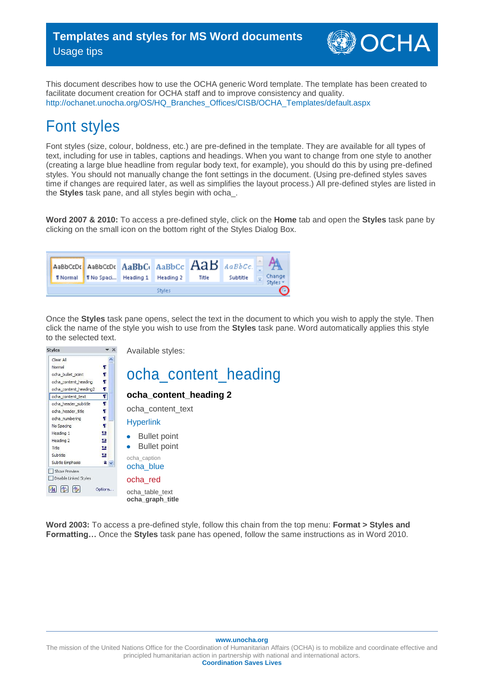OCHA

This document describes how to use the OCHA generic Word template. The template has been created to facilitate document creation for OCHA staff and to improve consistency and quality. [http://ochanet.unocha.org/OS/HQ\\_Branches\\_Offices/CISB/OCHA\\_Templates/default.aspx](http://ochanet.unocha.org/OS/HQ_Branches_Offices/CISB/OCHA_Templates/default.aspx)

# Font styles

Font styles (size, colour, boldness, etc.) are pre-defined in the template. They are available for all types of text, including for use in tables, captions and headings. When you want to change from one style to another (creating a large blue headline from regular body text, for example), you should do this by using pre-defined styles. You should not manually change the font settings in the document. (Using pre-defined styles saves time if changes are required later, as well as simplifies the layout process.) All pre-defined styles are listed in the **Styles** task pane, and all styles begin with ocha\_.

**Word 2007 & 2010:** To access a pre-defined style, click on the **Home** tab and open the **Styles** task pane by clicking on the small icon on the bottom right of the Styles Dialog Box.



Once the **Styles** task pane opens, select the text in the document to which you wish to apply the style. Then click the name of the style you wish to use from the **Styles** task pane. Word automatically applies this style to the selected text.



Available styles:



**Word 2003:** To access a pre-defined style, follow this chain from the top menu: **Format > Styles and Formatting…** Once the **Styles** task pane has opened, follow the same instructions as in Word 2010.

#### **www.unocha.org**

The mission of the United Nations Office for the Coordination of Humanitarian Affairs (OCHA) is to mobilize and coordinate effective and principled humanitarian action in partnership with national and international actors. **Coordination Saves Lives**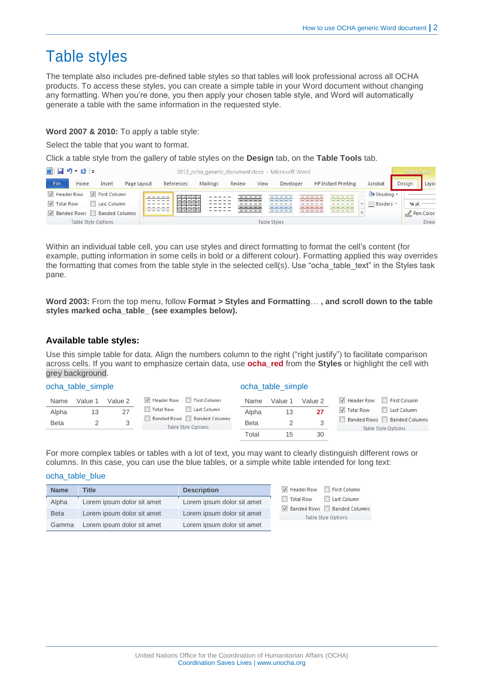# Table styles

The template also includes pre-defined table styles so that tables will look professional across all OCHA products. To access these styles, you can create a simple table in your Word document without changing any formatting. When you're done, you then apply your chosen table style, and Word will automatically generate a table with the same information in the requested style.

### **Word 2007 & 2010:** To apply a table style:

Select the table that you want to format.

Click a table style from the gallery of table styles on the **Design** tab, on the **Table Tools** tab.

| W 日 り じ  -<br>2012_ocha_generic_document.docx - Microsoft Word |      |                             |                       |  |            |          | Table Tools |              |           |                            |                          |        |                              |
|----------------------------------------------------------------|------|-----------------------------|-----------------------|--|------------|----------|-------------|--------------|-----------|----------------------------|--------------------------|--------|------------------------------|
| File                                                           | Home | Insert                      | Page Layout           |  | References | Mailings | Review      | View         | Developer | <b>HP Instant Printing</b> | Acrobat                  | Design | Layou                        |
| Header Row<br><b>V</b> Total Row                               |      | First Column<br>Last Column |                       |  |            |          |             |              |           |                            | Shading *<br>E Borders * | 1/4 pt |                              |
| $\triangledown$ Banded Rows                                    |      | Table Style Options         | <b>Banded Columns</b> |  |            |          |             | Table Styles |           |                            |                          |        | $\sqrt{P_{en}$ Color<br>Draw |

Within an individual table cell, you can use styles and direct formatting to format the cell's content (for example, putting information in some cells in bold or a different colour). Formatting applied this way overrides the formatting that comes from the table style in the selected cell(s). Use "ocha\_table\_text" in the Styles task pane.

**Word 2003:** From the top menu, follow **Format > Styles and Formatting**… **, and scroll down to the table styles marked ocha\_table\_ (see examples below).**

### **Available table styles:**

Use this simple table for data. Align the numbers column to the right ("right justify") to facilitate comparison across cells. If you want to emphasize certain data, use **ocha\_red** from the **Styles** or highlight the cell with grey background.

| ocha_table_simple |         |         |                                                   |             | ocha_table_simple |         |                    |                                                          |  |
|-------------------|---------|---------|---------------------------------------------------|-------------|-------------------|---------|--------------------|----------------------------------------------------------|--|
| Name              | Value 1 | Value 2 | First Column<br>V Header Row                      | Name        | Value 1           | Value 2 | Header Row         | First Column                                             |  |
| Alpha             | 13      | 27      | <b>Total Row</b><br>Last Column                   | Alpha       | 13                | 27      | <b>V</b> Total Row | Last Column                                              |  |
| <b>Beta</b>       |         |         | Banded Rows Banded Columns<br>Table Style Options | <b>Beta</b> |                   |         |                    | Banded Rows Banded Columns<br><b>Table Style Options</b> |  |
|                   |         |         |                                                   | Total       | 15                | 30      |                    |                                                          |  |

For more complex tables or tables with a lot of text, you may want to clearly distinguish different rows or columns. In this case, you can use the blue tables, or a simple white table intended for long text:

### ocha\_table\_blue

| <b>Name</b> | <b>Title</b>               | <b>Description</b>         | Header Row<br>First Column                        |
|-------------|----------------------------|----------------------------|---------------------------------------------------|
| Alpha       | Lorem ipsum dolor sit amet | Lorem ipsum dolor sit amet | Last Column<br>Total Row                          |
| <b>Beta</b> | Lorem ipsum dolor sit amet | Lorem ipsum dolor sit amet | Banded Rows Banded Columns<br>Table Style Options |
| Gamma       | Lorem ipsum dolor sit amet | Lorem ipsum dolor sit amet |                                                   |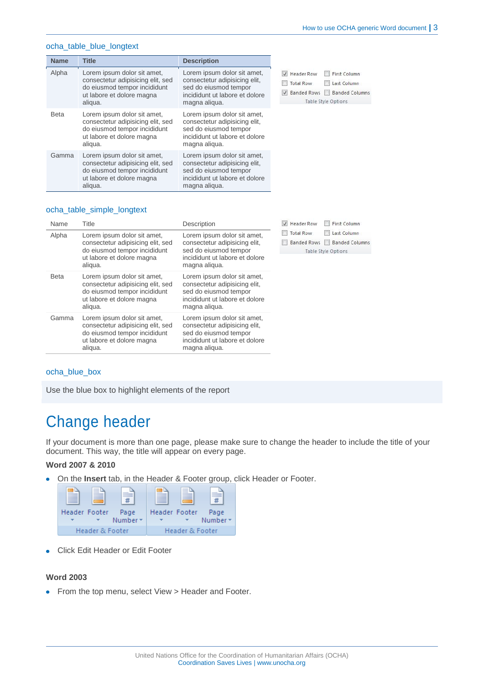### ocha\_table\_blue\_longtext

| <b>Name</b> | <b>Title</b>                                                                                                                             | <b>Description</b>                                                                                                                       |                                                                                                                                                               |
|-------------|------------------------------------------------------------------------------------------------------------------------------------------|------------------------------------------------------------------------------------------------------------------------------------------|---------------------------------------------------------------------------------------------------------------------------------------------------------------|
| Alpha       | Lorem ipsum dolor sit amet,<br>consectetur adipisicing elit, sed<br>do eiusmod tempor incididunt<br>ut labore et dolore magna<br>aliqua. | Lorem ipsum dolor sit amet,<br>consectetur adipisicing elit.<br>sed do eiusmod tempor<br>incididunt ut labore et dolore<br>magna aliqua. | <b>Header Row</b><br>First Column<br>$\sqrt{ }$<br>n<br><b>Total Row</b><br>Last Column<br><b>Banded Rows</b><br><b>Banded Columns</b><br>Table Style Options |
| <b>Beta</b> | Lorem ipsum dolor sit amet,<br>consectetur adipisicing elit, sed<br>do eiusmod tempor incididunt<br>ut labore et dolore magna<br>aliqua. | Lorem ipsum dolor sit amet,<br>consectetur adipisicing elit,<br>sed do eiusmod tempor<br>incididunt ut labore et dolore<br>magna aliqua. |                                                                                                                                                               |
| Gamma       | Lorem ipsum dolor sit amet,<br>consectetur adipisicing elit, sed<br>do eiusmod tempor incididunt<br>ut labore et dolore magna<br>aliqua. | Lorem ipsum dolor sit amet,<br>consectetur adipisicing elit,<br>sed do eiusmod tempor<br>incididunt ut labore et dolore<br>magna aliqua. |                                                                                                                                                               |

### ocha\_table\_simple\_longtext

| Name        | Title                                                                                                                                    | Description                                                                                                                              | V Header Row<br>First Column                                                                                        |
|-------------|------------------------------------------------------------------------------------------------------------------------------------------|------------------------------------------------------------------------------------------------------------------------------------------|---------------------------------------------------------------------------------------------------------------------|
| Alpha       | Lorem ipsum dolor sit amet,<br>consectetur adipisicing elit, sed<br>do eiusmod tempor incididunt<br>ut labore et dolore magna<br>aliqua. | Lorem ipsum dolor sit amet,<br>consectetur adipisicing elit,<br>sed do eiusmod tempor<br>incididunt ut labore et dolore<br>magna aliqua. | <b>Total Row</b><br>Last Column<br><b>Banded Rows</b><br><b>Banded Columns</b><br><b>TOP</b><br>Table Style Options |
| <b>Beta</b> | Lorem ipsum dolor sit amet,<br>consectetur adipisicing elit, sed<br>do eiusmod tempor incididunt<br>ut labore et dolore magna<br>aliqua. | Lorem ipsum dolor sit amet,<br>consectetur adipisicing elit,<br>sed do eiusmod tempor<br>incididunt ut labore et dolore<br>magna aligua. |                                                                                                                     |
| Gamma       | Lorem ipsum dolor sit amet,<br>consectetur adipisicing elit, sed<br>do eiusmod tempor incididunt<br>ut labore et dolore magna<br>aliqua. | Lorem ipsum dolor sit amet,<br>consectetur adipisicing elit.<br>sed do eiusmod tempor<br>incididunt ut labore et dolore<br>magna aligua. |                                                                                                                     |

### ocha\_blue\_box

Use the blue box to highlight elements of the report

## Change header

If your document is more than one page, please make sure to change the header to include the title of your document. This way, the title will appear on every page.

### **Word 2007 & 2010**

 $\bullet$ On the **Insert** tab, in the Header & Footer group, click Header or Footer.



Click Edit Header or Edit Footer

### **Word 2003**

• From the top menu, select View > Header and Footer.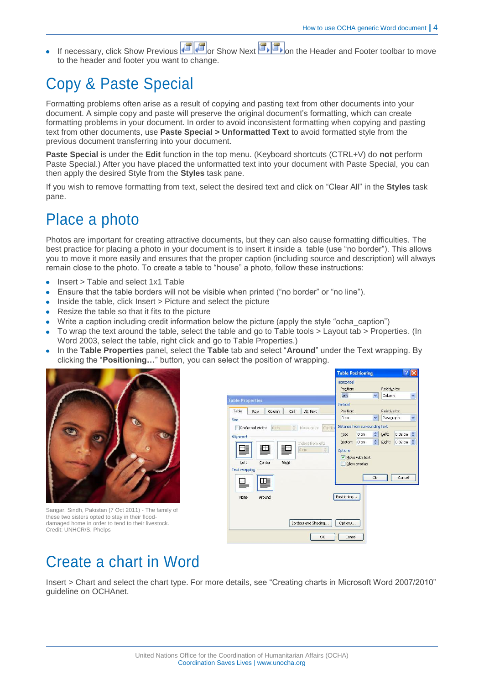If necessary, click Show Previous  $\left[\mathbb{F}\right]$  or Show Next  $\left[\mathbb{F}\right]$  on the Header and Footer toolbar to move to the header and footer you want to change.

# Copy & Paste Special

Formatting problems often arise as a result of copying and pasting text from other documents into your document. A simple copy and paste will preserve the original document's formatting, which can create formatting problems in your document. In order to avoid inconsistent formatting when copying and pasting text from other documents, use **Paste Special > Unformatted Text** to avoid formatted style from the previous document transferring into your document.

**Paste Special** is under the **Edit** function in the top menu. (Keyboard shortcuts (CTRL+V) do **not** perform Paste Special.) After you have placed the unformatted text into your document with Paste Special, you can then apply the desired Style from the **Styles** task pane.

If you wish to remove formatting from text, select the desired text and click on "Clear All" in the **Styles** task pane.

## Place a photo

Photos are important for creating attractive documents, but they can also cause formatting difficulties. The best practice for placing a photo in your document is to insert it inside a table (use "no border"). This allows you to move it more easily and ensures that the proper caption (including source and description) will always remain close to the photo. To create a table to "house" a photo, follow these instructions:

- Insert > Table and select 1x1 Table
- Ensure that the table borders will not be visible when printed ("no border" or "no line").
- $\bullet$  Inside the table, click Insert  $>$  Picture and select the picture
- Resize the table so that it fits to the picture
- Write a caption including credit information below the picture (apply the style "ocha caption")
- To wrap the text around the table, select the table and go to Table tools > Layout tab > Properties. (In Word 2003, select the table, right click and go to Table Properties.)
- In the **Table Properties** panel, select the **Table** tab and select "**Around**" under the Text wrapping. By clicking the "**Positioning…**" button, you can select the position of wrapping.



Sangar, Sindh, Pakistan (7 Oct 2011) - The family of these two sisters opted to stay in their flooddamaged home in order to tend to their livestock. Credit: UNHCR/S. Phelps



# Create a chart in Word

Insert > Chart and select the chart type. For more details, see "Creating charts in Microsoft Word 2007/2010" guideline on OCHAnet.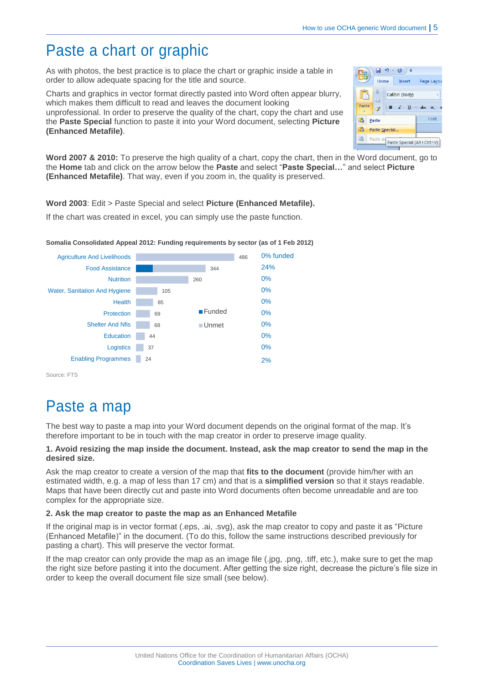## Paste a chart or graphic

As with photos, the best practice is to place the chart or graphic inside a table in order to allow adequate spacing for the title and source.

Charts and graphics in vector format directly pasted into Word often appear blurry, which makes them difficult to read and leaves the document looking unprofessional. In order to preserve the quality of the chart, copy the chart and use the **Paste Special** function to paste it into your Word document, selecting **Picture (Enhanced Metafile)**.

|       | H             | $17 - 15$            |                            |
|-------|---------------|----------------------|----------------------------|
|       | Home          | Insert               | Page Layou                 |
| a     | ŧ             | Calibri (Body)       |                            |
| Paste | $\mathbf{B}$  | $\mathcal{I}$<br>- U | abc<br>$\mathsf{x}$        |
| ß     | Paste         |                      | Font                       |
| G     | Paste Special |                      |                            |
|       | Paste as      |                      | Paste Special (Alt+Ctrl+V) |

**Word 2007 & 2010:** To preserve the high quality of a chart, copy the chart, then in the Word document, go to the **Home** tab and click on the arrow below the **Paste** and select "**Paste Special…**" and select **Picture (Enhanced Metafile)**. That way, even if you zoom in, the quality is preserved.

**Word 2003**: Edit > Paste Special and select **Picture (Enhanced Metafile).**

If the chart was created in excel, you can simply use the paste function.



**Somalia Consolidated Appeal 2012: Funding requirements by sector (as of 1 Feb 2012)**

Source: FTS

# Paste a map

The best way to paste a map into your Word document depends on the original format of the map. It's therefore important to be in touch with the map creator in order to preserve image quality.

### **1. Avoid resizing the map inside the document. Instead, ask the map creator to send the map in the desired size.**

Ask the map creator to create a version of the map that **fits to the document** (provide him/her with an estimated width, e.g. a map of less than 17 cm) and that is a **simplified version** so that it stays readable. Maps that have been directly cut and paste into Word documents often become unreadable and are too complex for the appropriate size.

### **2. Ask the map creator to paste the map as an Enhanced Metafile**

If the original map is in vector format (.eps, .ai, .svg), ask the map creator to copy and paste it as "Picture (Enhanced Metafile)" in the document. (To do this, follow the same instructions described previously for pasting a chart). This will preserve the vector format.

If the map creator can only provide the map as an image file (.jpg, .png, .tiff, etc.), make sure to get the map the right size before pasting it into the document. After getting the size right, decrease the picture's file size in order to keep the overall document file size small (see below).